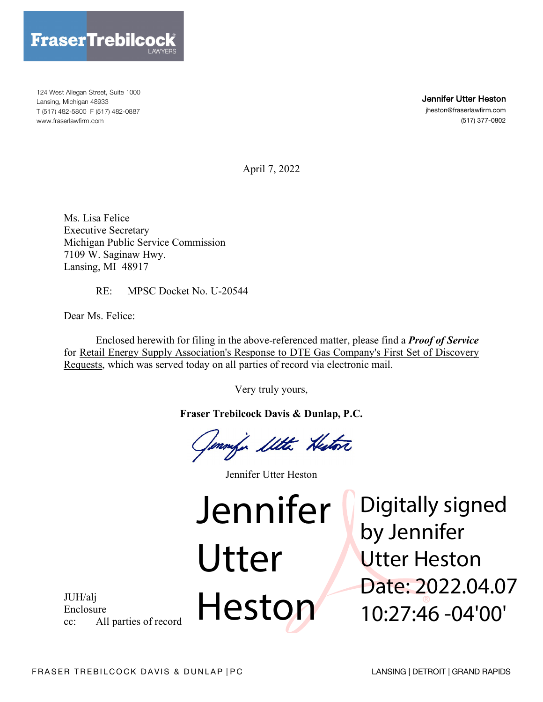

124 West Allegan Street, Suite 1000 Lansing, Michigan 48933 T (517) 482-5800 F (517) 482-0887 www.fraserlawfirm.com

Jennifer Utter Heston

jheston@fraserlawfirm.com (517) 377-0802

April 7, 2022

Ms. Lisa Felice Executive Secretary Michigan Public Service Commission 7109 W. Saginaw Hwy. Lansing, MI 48917

RE: MPSC Docket No. U-20544

Dear Ms. Felice:

Enclosed herewith for filing in the above-referenced matter, please find a *Proof of Service* for Retail Energy Supply Association's Response to DTE Gas Company's First Set of Discovery Requests, which was served today on all parties of record via electronic mail.

Very truly yours,

**Fraser Trebilcock Davis & Dunlap, P.C.**

Immfor Ilthe Histori

Jennifer Utter Heston

Utter

Heston

Jennifer Digitally signed by Jennifer Utter Heston Date: 2022.04.07 10:27:46 -04'00'

JUH/alj Enclosure cc: All parties of record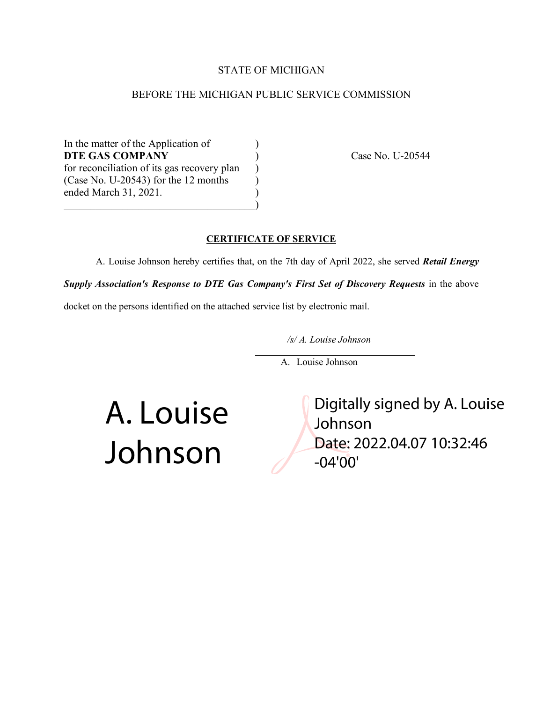#### STATE OF MICHIGAN

#### BEFORE THE MICHIGAN PUBLIC SERVICE COMMISSION

In the matter of the Application of ) **DTE GAS COMPANY** (asset No. U-20544) for reconciliation of its gas recovery plan )  $(Case No. U-20543)$  for the 12 months  $)$ ended March 31, 2021. )  $\hspace{.5em}$   $\hspace{.5em}$   $\hspace{.5em}$   $\hspace{.5em}$   $\hspace{.5em}$   $\hspace{.5em}$   $\hspace{.5em}$   $\hspace{.5em}$   $\hspace{.5em}$   $\hspace{.5em}$   $\hspace{.5em}$   $\hspace{.5em}$   $\hspace{.5em}$   $\hspace{.5em}$   $\hspace{.5em}$   $\hspace{.5em}$   $\hspace{.5em}$   $\hspace{.5em}$   $\hspace{.5em}$   $\hspace{.5em}$ 

#### **CERTIFICATE OF SERVICE**

A. Louise Johnson hereby certifies that, on the 7th day of April 2022, she served *Retail Energy Supply Association's Response to DTE Gas Company's First Set of Discovery Requests* in the above

docket on the persons identified on the attached service list by electronic mail.

*/s/ A. Louise Johnson*

A. Louise Johnson

A. Louise Johnson

Digitally signed by A. Louise Johnson Date: 2022.04.07 10:32:46 -04'00'